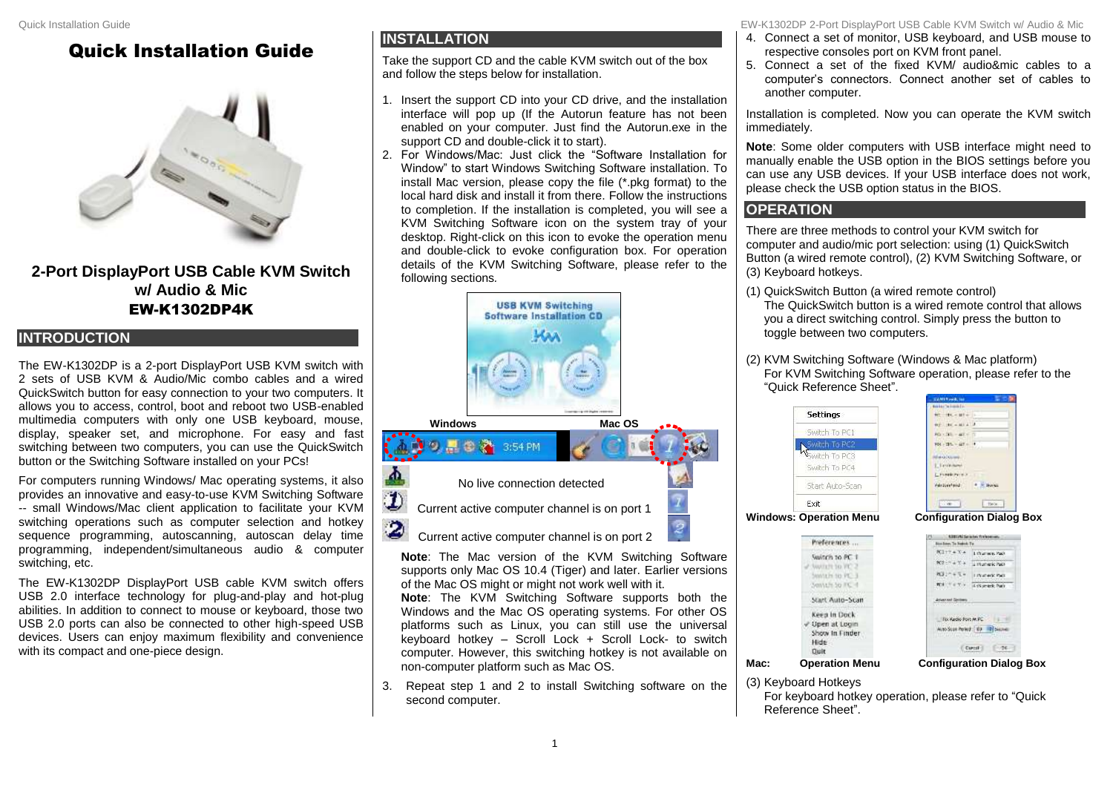## Quick Installation Guide



**2-Port DisplayPort USB Cable KVM Switch w/ Audio & Mic** EW-K1302DP4K

## **INTRODUCTION**

The EW-K1302DP is a 2-port DisplayPort USB KVM switch with 2 sets of USB KVM & Audio/Mic combo cables and a wired QuickSwitch button for easy connection to your two computers. It allows you to access, control, boot and reboot two USB-enabled multimedia computers with only one USB keyboard, mouse, display, speaker set, and microphone. For easy and fast switching between two computers, you can use the QuickSwitch button or the Switching Software installed on your PCs!

For computers running Windows/ Mac operating systems, it also provides an innovative and easy-to-use KVM Switching Software -- small Windows/Mac client application to facilitate your KVM switching operations such as computer selection and hotkey sequence programming, autoscanning, autoscan delay time programming, independent/simultaneous audio & computer switching, etc.

The EW-K1302DP DisplayPort USB cable KVM switch offers USB 2.0 interface technology for plug-and-play and hot-plug abilities. In addition to connect to mouse or keyboard, those two USB 2.0 ports can also be connected to other high-speed USB devices. Users can enjoy maximum flexibility and convenience with its compact and one-piece design.

## **INSTALLATION**

Take the support CD and the cable KVM switch out of the box and follow the steps below for installation.

- 1. Insert the support CD into your CD drive, and the installation interface will pop up (If the Autorun feature has not been enabled on your computer. Just find the Autorun.exe in the support CD and double-click it to start).
- 2. For Windows/Mac: Just click the "Software Installation for Window" to start Windows Switching Software installation. To install Mac version, please copy the file (\*.pkg format) to the local hard disk and install it from there. Follow the instructions to completion. If the installation is completed, you will see a KVM Switching Software icon on the system tray of your desktop. Right-click on this icon to evoke the operation menu and double-click to evoke configuration box. For operation details of the KVM Switching Software, please refer to the following sections*.*



**Note**: The Mac version of the KVM Switching Software supports only Mac OS 10.4 (Tiger) and later. Earlier versions of the Mac OS might or might not work well with it.

**Note**: The KVM Switching Software supports both the Windows and the Mac OS operating systems. For other OS platforms such as Linux, you can still use the universal keyboard hotkey – Scroll Lock + Scroll Lock- to switch computer. However, this switching hotkey is not available on non-computer platform such as Mac OS.

3. Repeat step 1 and 2 to install Switching software on the second computer.

Quick Installation Guide EW-K1302DP 2-Port DisplayPort USB Cable KVM Switch w/ Audio & Mic

- 4. Connect a set of monitor, USB keyboard, and USB mouse to respective consoles port on KVM front panel.
- 5. Connect a set of the fixed KVM/ audio&mic cables to a computer's connectors. Connect another set of cables to another computer.

Installation is completed. Now you can operate the KVM switch immediately.

**Note**: Some older computers with USB interface might need to manually enable the USB option in the BIOS settings before you can use any USB devices. If your USB interface does not work, please check the USB option status in the BIOS.

## **OPERATION**

There are three methods to control your KVM switch for computer and audio/mic port selection: using (1) QuickSwitch Button (a wired remote control), (2) KVM Switching Software, or (3) Keyboard hotkeys.

- (1) QuickSwitch Button (a wired remote control) The QuickSwitch button is a wired remote control that allows you a direct switching control. Simply press the button to toggle between two computers.
- (2) KVM Switching Software (Windows & Mac platform) For KVM Switching Software operation, please refer to the "Quick Reference Sheet".



Proferences... Switch to PC 1 AWARD TO PC. Switch to PC 3 Switch to Inc. 4 Start Auto-Scan Keep in Dock Upen at Login Show In Finder Hide

**Operation Menu** 

Out



**Windows: Operation Menu Configuration Dialog Box**

| L'Indich Tu                                                                            | and the property of the property of |
|----------------------------------------------------------------------------------------|-------------------------------------|
|                                                                                        | Lift at way. Yack.<br>10535         |
| 68                                                                                     | LINGUARD PACK                       |
| w                                                                                      | Value of<br>w<br>--                 |
| <b>KA</b> TE<br>Ø.                                                                     | Lysumerk, Park                      |
| <b>Lexisland Continents</b><br><b>STATISTICS</b> IN AN INCOME.<br>To: Audio Fort At FC |                                     |
|                                                                                        |                                     |

**Mac: Operation Menu Configuration Dialog Box**

- (3) Keyboard Hotkeys
	- For keyboard hotkey operation, please refer to "Quick Reference Sheet".